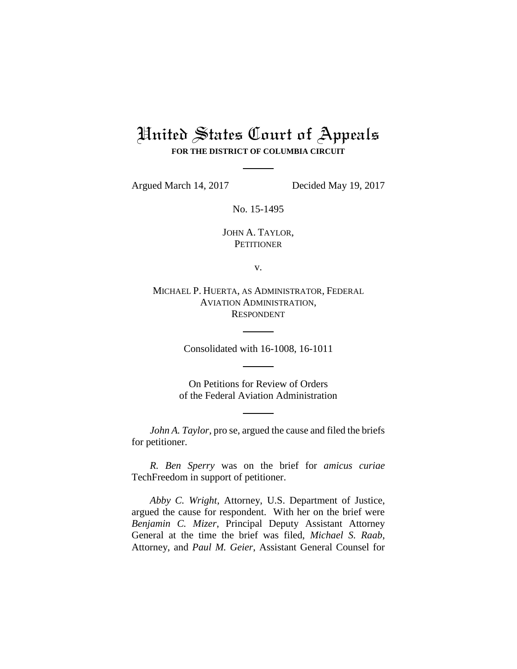## United States Court of Appeals **FOR THE DISTRICT OF COLUMBIA CIRCUIT**

Argued March 14, 2017 Decided May 19, 2017

No. 15-1495

JOHN A. TAYLOR, **PETITIONER** 

v.

MICHAEL P. HUERTA, AS ADMINISTRATOR, FEDERAL AVIATION ADMINISTRATION, RESPONDENT

Consolidated with 16-1008, 16-1011

On Petitions for Review of Orders of the Federal Aviation Administration

*John A. Taylor*, pro se, argued the cause and filed the briefs for petitioner.

*R. Ben Sperry* was on the brief for *amicus curiae*  TechFreedom in support of petitioner.

*Abby C. Wright*, Attorney, U.S. Department of Justice, argued the cause for respondent. With her on the brief were *Benjamin C. Mizer*, Principal Deputy Assistant Attorney General at the time the brief was filed, *Michael S. Raab*, Attorney, and *Paul M. Geier*, Assistant General Counsel for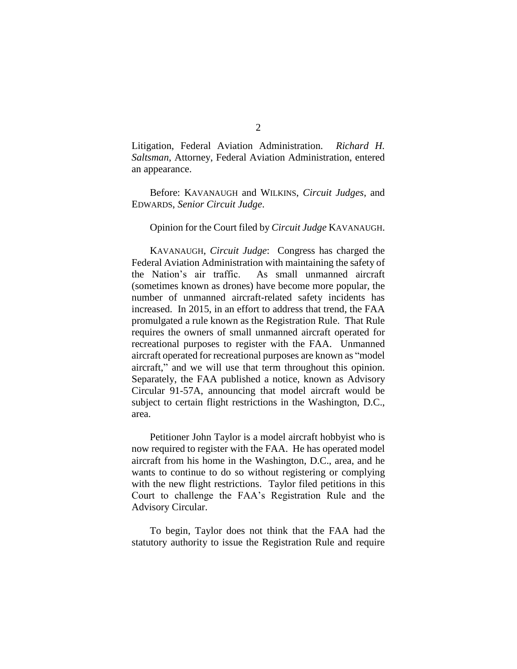Litigation, Federal Aviation Administration. *Richard H. Saltsman*, Attorney, Federal Aviation Administration, entered an appearance.

Before: KAVANAUGH and WILKINS, *Circuit Judges*, and EDWARDS, *Senior Circuit Judge*.

## Opinion for the Court filed by *Circuit Judge* KAVANAUGH.

KAVANAUGH, *Circuit Judge*: Congress has charged the Federal Aviation Administration with maintaining the safety of the Nation's air traffic. As small unmanned aircraft (sometimes known as drones) have become more popular, the number of unmanned aircraft-related safety incidents has increased. In 2015, in an effort to address that trend, the FAA promulgated a rule known as the Registration Rule. That Rule requires the owners of small unmanned aircraft operated for recreational purposes to register with the FAA. Unmanned aircraft operated for recreational purposes are known as "model aircraft," and we will use that term throughout this opinion. Separately, the FAA published a notice, known as Advisory Circular 91-57A, announcing that model aircraft would be subject to certain flight restrictions in the Washington, D.C., area.

Petitioner John Taylor is a model aircraft hobbyist who is now required to register with the FAA. He has operated model aircraft from his home in the Washington, D.C., area, and he wants to continue to do so without registering or complying with the new flight restrictions. Taylor filed petitions in this Court to challenge the FAA's Registration Rule and the Advisory Circular.

To begin, Taylor does not think that the FAA had the statutory authority to issue the Registration Rule and require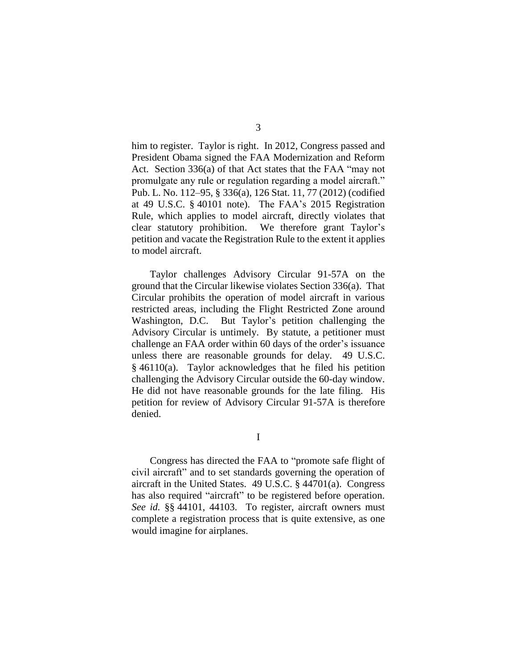him to register. Taylor is right. In 2012, Congress passed and President Obama signed the FAA Modernization and Reform Act. Section 336(a) of that Act states that the FAA "may not promulgate any rule or regulation regarding a model aircraft." Pub. L. No. 112–95, § 336(a), 126 Stat. 11, 77 (2012) (codified at 49 U.S.C. § 40101 note). The FAA's 2015 Registration Rule, which applies to model aircraft, directly violates that clear statutory prohibition. We therefore grant Taylor's petition and vacate the Registration Rule to the extent it applies to model aircraft.

Taylor challenges Advisory Circular 91-57A on the ground that the Circular likewise violates Section 336(a). That Circular prohibits the operation of model aircraft in various restricted areas, including the Flight Restricted Zone around Washington, D.C. But Taylor's petition challenging the Advisory Circular is untimely. By statute, a petitioner must challenge an FAA order within 60 days of the order's issuance unless there are reasonable grounds for delay. 49 U.S.C. § 46110(a). Taylor acknowledges that he filed his petition challenging the Advisory Circular outside the 60-day window. He did not have reasonable grounds for the late filing. His petition for review of Advisory Circular 91-57A is therefore denied.

I

Congress has directed the FAA to "promote safe flight of civil aircraft" and to set standards governing the operation of aircraft in the United States. 49 U.S.C. § 44701(a). Congress has also required "aircraft" to be registered before operation. *See id.* §§ 44101, 44103. To register, aircraft owners must complete a registration process that is quite extensive, as one would imagine for airplanes.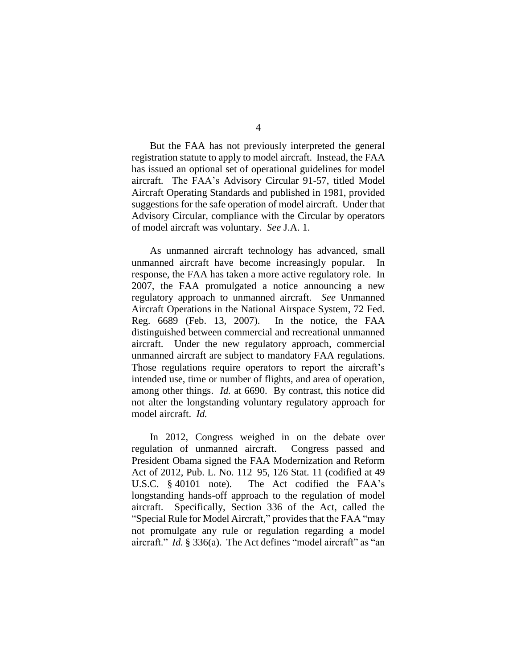But the FAA has not previously interpreted the general registration statute to apply to model aircraft. Instead, the FAA has issued an optional set of operational guidelines for model aircraft. The FAA's Advisory Circular 91-57, titled Model Aircraft Operating Standards and published in 1981, provided suggestions for the safe operation of model aircraft. Under that Advisory Circular, compliance with the Circular by operators of model aircraft was voluntary. *See* J.A. 1.

As unmanned aircraft technology has advanced, small unmanned aircraft have become increasingly popular. In response, the FAA has taken a more active regulatory role. In 2007, the FAA promulgated a notice announcing a new regulatory approach to unmanned aircraft. *See* Unmanned Aircraft Operations in the National Airspace System, 72 Fed. Reg. 6689 (Feb. 13, 2007). In the notice, the FAA distinguished between commercial and recreational unmanned aircraft. Under the new regulatory approach, commercial unmanned aircraft are subject to mandatory FAA regulations. Those regulations require operators to report the aircraft's intended use, time or number of flights, and area of operation, among other things. *Id.* at 6690. By contrast, this notice did not alter the longstanding voluntary regulatory approach for model aircraft. *Id.*

In 2012, Congress weighed in on the debate over regulation of unmanned aircraft. Congress passed and President Obama signed the FAA Modernization and Reform Act of 2012, Pub. L. No. 112–95, 126 Stat. 11 (codified at 49 U.S.C. § 40101 note). The Act codified the FAA's longstanding hands-off approach to the regulation of model aircraft. Specifically, Section 336 of the Act, called the "Special Rule for Model Aircraft," provides that the FAA "may not promulgate any rule or regulation regarding a model aircraft." *Id.* § 336(a). The Act defines "model aircraft" as "an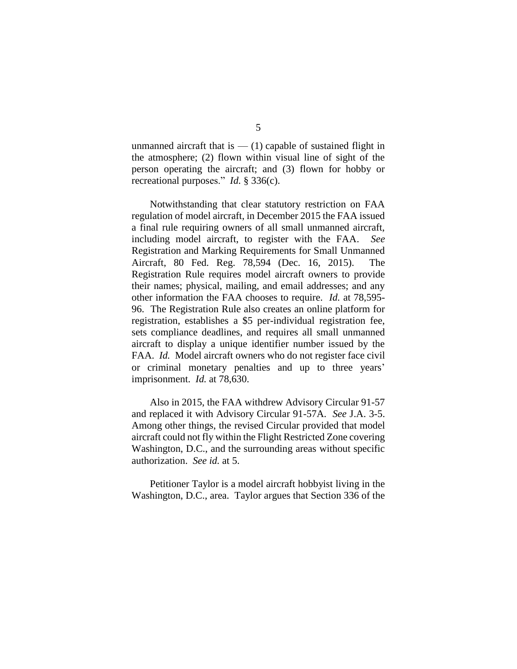unmanned aircraft that is  $-$  (1) capable of sustained flight in the atmosphere; (2) flown within visual line of sight of the person operating the aircraft; and (3) flown for hobby or recreational purposes." *Id.* § 336(c).

Notwithstanding that clear statutory restriction on FAA regulation of model aircraft, in December 2015 the FAA issued a final rule requiring owners of all small unmanned aircraft, including model aircraft, to register with the FAA. *See* Registration and Marking Requirements for Small Unmanned Aircraft, 80 Fed. Reg. 78,594 (Dec. 16, 2015). The Registration Rule requires model aircraft owners to provide their names; physical, mailing, and email addresses; and any other information the FAA chooses to require. *Id.* at 78,595- 96. The Registration Rule also creates an online platform for registration, establishes a \$5 per-individual registration fee, sets compliance deadlines, and requires all small unmanned aircraft to display a unique identifier number issued by the FAA. *Id.* Model aircraft owners who do not register face civil or criminal monetary penalties and up to three years' imprisonment. *Id.* at 78,630.

Also in 2015, the FAA withdrew Advisory Circular 91-57 and replaced it with Advisory Circular 91-57A. *See* J.A. 3-5. Among other things, the revised Circular provided that model aircraft could not fly within the Flight Restricted Zone covering Washington, D.C., and the surrounding areas without specific authorization. *See id.* at 5.

Petitioner Taylor is a model aircraft hobbyist living in the Washington, D.C., area. Taylor argues that Section 336 of the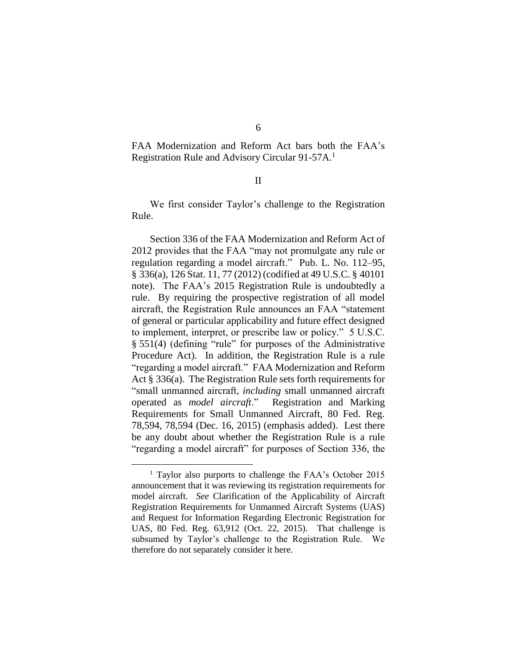FAA Modernization and Reform Act bars both the FAA's Registration Rule and Advisory Circular 91-57A.<sup>1</sup>

## II

We first consider Taylor's challenge to the Registration Rule.

Section 336 of the FAA Modernization and Reform Act of 2012 provides that the FAA "may not promulgate any rule or regulation regarding a model aircraft." Pub. L. No. 112–95, § 336(a), 126 Stat. 11, 77 (2012) (codified at 49 U.S.C. § 40101 note). The FAA's 2015 Registration Rule is undoubtedly a rule. By requiring the prospective registration of all model aircraft, the Registration Rule announces an FAA "statement of general or particular applicability and future effect designed to implement, interpret, or prescribe law or policy." 5 U.S.C. § 551(4) (defining "rule" for purposes of the Administrative Procedure Act). In addition, the Registration Rule is a rule "regarding a model aircraft." FAA Modernization and Reform Act § 336(a). The Registration Rule sets forth requirements for "small unmanned aircraft, *including* small unmanned aircraft operated as *model aircraft*." Registration and Marking Requirements for Small Unmanned Aircraft, 80 Fed. Reg. 78,594, 78,594 (Dec. 16, 2015) (emphasis added). Lest there be any doubt about whether the Registration Rule is a rule "regarding a model aircraft" for purposes of Section 336, the

 $\overline{a}$ 

<sup>&</sup>lt;sup>1</sup> Taylor also purports to challenge the FAA's October 2015 announcement that it was reviewing its registration requirements for model aircraft. *See* Clarification of the Applicability of Aircraft Registration Requirements for Unmanned Aircraft Systems (UAS) and Request for Information Regarding Electronic Registration for UAS, 80 Fed. Reg. 63,912 (Oct. 22, 2015). That challenge is subsumed by Taylor's challenge to the Registration Rule. We therefore do not separately consider it here.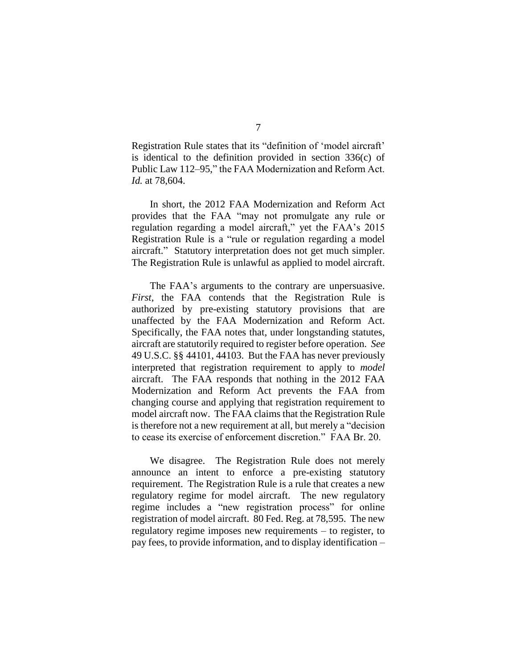Registration Rule states that its "definition of 'model aircraft' is identical to the definition provided in section 336(c) of Public Law 112–95," the FAA Modernization and Reform Act. *Id.* at 78,604.

In short, the 2012 FAA Modernization and Reform Act provides that the FAA "may not promulgate any rule or regulation regarding a model aircraft," yet the FAA's 2015 Registration Rule is a "rule or regulation regarding a model aircraft." Statutory interpretation does not get much simpler. The Registration Rule is unlawful as applied to model aircraft.

The FAA's arguments to the contrary are unpersuasive. *First*, the FAA contends that the Registration Rule is authorized by pre-existing statutory provisions that are unaffected by the FAA Modernization and Reform Act. Specifically, the FAA notes that, under longstanding statutes, aircraft are statutorily required to register before operation. *See* 49 U.S.C. §§ 44101, 44103. But the FAA has never previously interpreted that registration requirement to apply to *model*  aircraft. The FAA responds that nothing in the 2012 FAA Modernization and Reform Act prevents the FAA from changing course and applying that registration requirement to model aircraft now. The FAA claims that the Registration Rule is therefore not a new requirement at all, but merely a "decision to cease its exercise of enforcement discretion." FAA Br. 20.

We disagree. The Registration Rule does not merely announce an intent to enforce a pre-existing statutory requirement. The Registration Rule is a rule that creates a new regulatory regime for model aircraft. The new regulatory regime includes a "new registration process" for online registration of model aircraft. 80 Fed. Reg. at 78,595. The new regulatory regime imposes new requirements – to register, to pay fees, to provide information, and to display identification –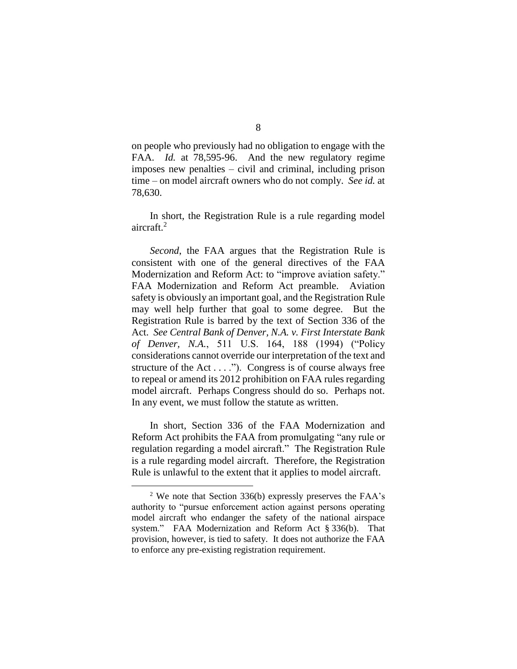on people who previously had no obligation to engage with the FAA. *Id.* at 78,595-96. And the new regulatory regime imposes new penalties – civil and criminal, including prison time – on model aircraft owners who do not comply. *See id.* at 78,630.

In short, the Registration Rule is a rule regarding model aircraft. 2

*Second*, the FAA argues that the Registration Rule is consistent with one of the general directives of the FAA Modernization and Reform Act: to "improve aviation safety." FAA Modernization and Reform Act preamble. Aviation safety is obviously an important goal, and the Registration Rule may well help further that goal to some degree. But the Registration Rule is barred by the text of Section 336 of the Act. *See Central Bank of Denver, N.A. v. First Interstate Bank of Denver, N.A.*, 511 U.S. 164, 188 (1994) ("Policy considerations cannot override our interpretation of the text and structure of the Act  $\dots$ ."). Congress is of course always free to repeal or amend its 2012 prohibition on FAA rules regarding model aircraft. Perhaps Congress should do so. Perhaps not. In any event, we must follow the statute as written.

In short, Section 336 of the FAA Modernization and Reform Act prohibits the FAA from promulgating "any rule or regulation regarding a model aircraft." The Registration Rule is a rule regarding model aircraft. Therefore, the Registration Rule is unlawful to the extent that it applies to model aircraft.

 $\overline{a}$ 

 $2$  We note that Section 336(b) expressly preserves the FAA's authority to "pursue enforcement action against persons operating model aircraft who endanger the safety of the national airspace system." FAA Modernization and Reform Act § 336(b). That provision, however, is tied to safety. It does not authorize the FAA to enforce any pre-existing registration requirement.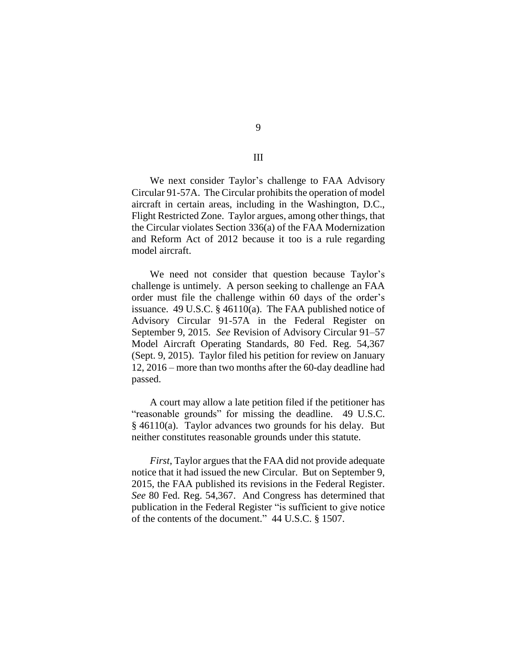We next consider Taylor's challenge to FAA Advisory Circular 91-57A. The Circular prohibits the operation of model aircraft in certain areas, including in the Washington, D.C., Flight Restricted Zone. Taylor argues, among other things, that the Circular violates Section 336(a) of the FAA Modernization and Reform Act of 2012 because it too is a rule regarding model aircraft.

We need not consider that question because Taylor's challenge is untimely. A person seeking to challenge an FAA order must file the challenge within 60 days of the order's issuance. 49 U.S.C. § 46110(a). The FAA published notice of Advisory Circular 91-57A in the Federal Register on September 9, 2015. *See* Revision of Advisory Circular 91–57 Model Aircraft Operating Standards, 80 Fed. Reg. 54,367 (Sept. 9, 2015). Taylor filed his petition for review on January 12, 2016 – more than two months after the 60-day deadline had passed.

A court may allow a late petition filed if the petitioner has "reasonable grounds" for missing the deadline. 49 U.S.C. § 46110(a). Taylor advances two grounds for his delay. But neither constitutes reasonable grounds under this statute.

*First*, Taylor argues that the FAA did not provide adequate notice that it had issued the new Circular. But on September 9, 2015, the FAA published its revisions in the Federal Register. *See* 80 Fed. Reg. 54,367. And Congress has determined that publication in the Federal Register "is sufficient to give notice of the contents of the document." 44 U.S.C. § 1507.

III